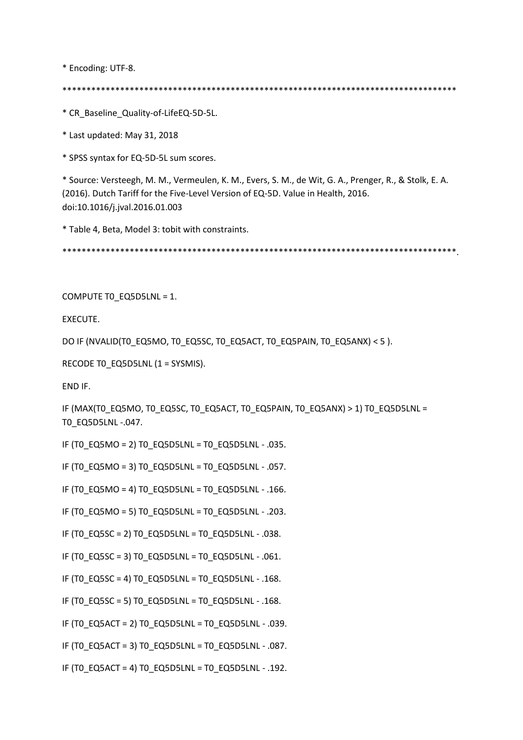\* Encoding: UTF-8.

\*\*\*\*\*\*\*\*\*\*\*\*\*\*\*\*\*\*\*\*\*\*\*\*\*\*\*\*\*\*\*\*\*\*\*\*\*\*\*\*\*\*\*\*\*\*\*\*\*\*\*\*\*\*\*\*\*\*\*\*\*\*\*\*\*\*\*\*\*\*\*\*\*\*\*\*\*\*\*\*\*\*

\* CR\_Baseline\_Quality-of-LifeEQ-5D-5L.

\* Last updated: May 31, 2018

\* SPSS syntax for EQ-5D-5L sum scores.

\* Source: Versteegh, M. M., Vermeulen, K. M., Evers, S. M., de Wit, G. A., Prenger, R., & Stolk, E. A. (2016). Dutch Tariff for the Five-Level Version of EQ-5D. Value in Health, 2016. doi:10.1016/j.jval.2016.01.003

\* Table 4, Beta, Model 3: tobit with constraints.

\*\*\*\*\*\*\*\*\*\*\*\*\*\*\*\*\*\*\*\*\*\*\*\*\*\*\*\*\*\*\*\*\*\*\*\*\*\*\*\*\*\*\*\*\*\*\*\*\*\*\*\*\*\*\*\*\*\*\*\*\*\*\*\*\*\*\*\*\*\*\*\*\*\*\*\*\*\*\*\*\*\*.

COMPUTE T0\_EQ5D5LNL = 1.

EXECUTE.

DO IF (NVALID(TO EQ5MO, TO EQ5SC, TO EQ5ACT, TO EQ5PAIN, TO EQ5ANX) < 5 ).

RECODE TO EQ5D5LNL (1 = SYSMIS).

END IF.

IF (MAX(T0\_EQ5MO, T0\_EQ5SC, T0\_EQ5ACT, T0\_EQ5PAIN, T0\_EQ5ANX) > 1) T0\_EQ5D5LNL = T0\_EQ5D5LNL -.047.

IF (TO EQ5MO = 2) TO EQ5D5LNL = TO EQ5D5LNL - .035.

IF (TO EQ5MO = 3) TO EQ5D5LNL = TO EQ5D5LNL - .057.

IF (TO EQ5MO = 4) TO EQ5D5LNL = TO EQ5D5LNL - .166.

IF (T0\_EQ5MO = 5) T0\_EQ5D5LNL = T0\_EQ5D5LNL - .203.

IF (TO EQ5SC = 2) TO EQ5D5LNL = TO EQ5D5LNL - .038.

IF (T0\_EQ5SC = 3) T0\_EQ5D5LNL = T0\_EQ5D5LNL - .061.

IF (T0\_EQ5SC = 4) T0\_EQ5D5LNL = T0\_EQ5D5LNL - .168.

IF (TO EQ5SC = 5) TO EQ5D5LNL = TO EQ5D5LNL - .168.

IF (TO EQ5ACT = 2) TO EQ5D5LNL = TO EQ5D5LNL - .039.

IF (T0\_EQ5ACT = 3) T0\_EQ5D5LNL = T0\_EQ5D5LNL - .087.

IF (T0\_EQ5ACT = 4) T0\_EQ5D5LNL = T0\_EQ5D5LNL - .192.